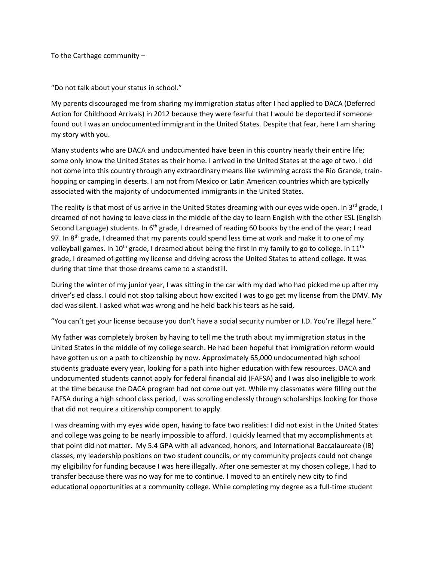To the Carthage community –

"Do not talk about your status in school."

My parents discouraged me from sharing my immigration status after I had applied to DACA (Deferred Action for Childhood Arrivals) in 2012 because they were fearful that I would be deported if someone found out I was an undocumented immigrant in the United States. Despite that fear, here I am sharing my story with you.

Many students who are DACA and undocumented have been in this country nearly their entire life; some only know the United States as their home. I arrived in the United States at the age of two. I did not come into this country through any extraordinary means like swimming across the Rio Grande, trainhopping or camping in deserts. I am not from Mexico or Latin American countries which are typically associated with the majority of undocumented immigrants in the United States.

The reality is that most of us arrive in the United States dreaming with our eyes wide open. In  $3^{rd}$  grade, I dreamed of not having to leave class in the middle of the day to learn English with the other ESL (English Second Language) students. In  $6<sup>th</sup>$  grade, I dreamed of reading 60 books by the end of the year; I read 97. In 8<sup>th</sup> grade, I dreamed that my parents could spend less time at work and make it to one of my volleyball games. In 10<sup>th</sup> grade, I dreamed about being the first in my family to go to college. In 11<sup>th</sup> grade, I dreamed of getting my license and driving across the United States to attend college. It was during that time that those dreams came to a standstill.

During the winter of my junior year, I was sitting in the car with my dad who had picked me up after my driver's ed class. I could not stop talking about how excited I was to go get my license from the DMV. My dad was silent. I asked what was wrong and he held back his tears as he said,

"You can't get your license because you don't have a social security number or I.D. You're illegal here."

My father was completely broken by having to tell me the truth about my immigration status in the United States in the middle of my college search. He had been hopeful that immigration reform would have gotten us on a path to citizenship by now. Approximately 65,000 undocumented high school students graduate every year, looking for a path into higher education with few resources. DACA and undocumented students cannot apply for federal financial aid (FAFSA) and I was also ineligible to work at the time because the DACA program had not come out yet. While my classmates were filling out the FAFSA during a high school class period, I was scrolling endlessly through scholarships looking for those that did not require a citizenship component to apply.

I was dreaming with my eyes wide open, having to face two realities: I did not exist in the United States and college was going to be nearly impossible to afford. I quickly learned that my accomplishments at that point did not matter. My 5.4 GPA with all advanced, honors, and International Baccalaureate (IB) classes, my leadership positions on two student councils, or my community projects could not change my eligibility for funding because I was here illegally. After one semester at my chosen college, I had to transfer because there was no way for me to continue. I moved to an entirely new city to find educational opportunities at a community college. While completing my degree as a full-time student